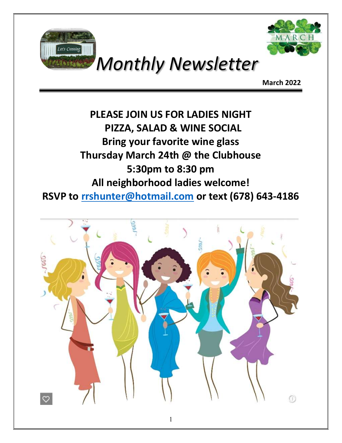



## Monthly Newsletter

March 2022

### PLEASE JOIN US FOR LADIES NIGHT PIZZA, SALAD & WINE SOCIAL Bring your favorite wine glass Thursday March 24th @ the Clubhouse 5:30pm to 8:30 pm All neighborhood ladies welcome! RSVP to rrshunter@hotmail.com or text (678) 643-4186

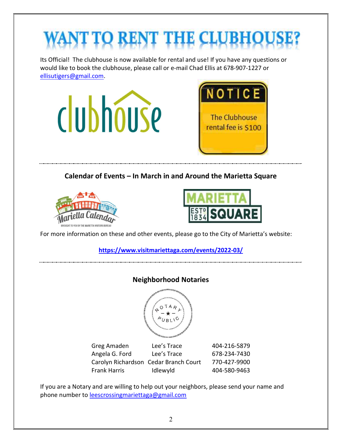# **D RENT THE**

Its Official! The clubhouse is now available for rental and use! If you have any questions or would like to book the clubhouse, please call or e-mail Chad Ellis at 678-907-1227 or ellisutigers@gmail.com.

![](_page_1_Picture_2.jpeg)

Calendar of Events – In March in and Around the Marietta Square

![](_page_1_Picture_4.jpeg)

![](_page_1_Picture_5.jpeg)

For more information on these and other events, please go to the City of Marietta's website:

https://www.visitmariettaga.com/events/2022-03/

![](_page_1_Figure_8.jpeg)

![](_page_1_Picture_9.jpeg)

| Greg Amaden                           | Lee's Trace | 404-216-5879 |
|---------------------------------------|-------------|--------------|
| Angela G. Ford                        | Lee's Trace | 678-234-7430 |
| Carolyn Richardson Cedar Branch Court |             | 770-427-9900 |
| <b>Frank Harris</b>                   | Idlewyld    | 404-580-9463 |

If you are a Notary and are willing to help out your neighbors, please send your name and phone number to leescrossingmariettaga@gmail.com